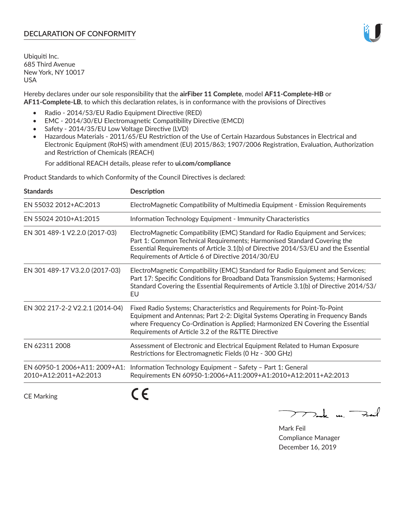## **DECLARATION OF CONFORMITY**

Ubiquiti Inc. 685 Third Avenue New York, NY 10017 USA

Hereby declares under our sole responsibility that the **airFiber 11 Complete**, model **AF11-Complete-HB** or **AF11-Complete-LB**, to which this declaration relates, is in conformance with the provisions of Directives

- Radio 2014/53/EU Radio Equipment Directive (RED)
- EMC 2014/30/EU Electromagnetic Compatibility Directive (EMCD)
- Safety 2014/35/EU Low Voltage Directive (LVD)
- Hazardous Materials 2011/65/EU Restriction of the Use of Certain Hazardous Substances in Electrical and Electronic Equipment (RoHS) with amendment (EU) 2015/863; 1907/2006 Registration, Evaluation, Authorization and Restriction of Chemicals (REACH)

For additional REACH details, please refer to **ui.com/compliance**

Product Standards to which Conformity of the Council Directives is declared:

| <b>Standards</b>                                       | <b>Description</b>                                                                                                                                                                                                                                                                                   |
|--------------------------------------------------------|------------------------------------------------------------------------------------------------------------------------------------------------------------------------------------------------------------------------------------------------------------------------------------------------------|
| EN 55032 2012+AC:2013                                  | ElectroMagnetic Compatibility of Multimedia Equipment - Emission Requirements                                                                                                                                                                                                                        |
| EN 55024 2010+A1:2015                                  | Information Technology Equipment - Immunity Characteristics                                                                                                                                                                                                                                          |
| EN 301 489-1 V2.2.0 (2017-03)                          | ElectroMagnetic Compatibility (EMC) Standard for Radio Equipment and Services;<br>Part 1: Common Technical Requirements; Harmonised Standard Covering the<br>Essential Requirements of Article 3.1(b) of Directive 2014/53/EU and the Essential<br>Requirements of Article 6 of Directive 2014/30/EU |
| EN 301 489-17 V3.2.0 (2017-03)                         | ElectroMagnetic Compatibility (EMC) Standard for Radio Equipment and Services;<br>Part 17: Specific Conditions for Broadband Data Transmission Systems; Harmonised<br>Standard Covering the Essential Requirements of Article 3.1(b) of Directive 2014/53/<br>EU                                     |
| EN 302 217-2-2 V2.2.1 (2014-04)                        | Fixed Radio Systems; Characteristics and Requirements for Point-To-Point<br>Equipment and Antennas; Part 2-2: Digital Systems Operating in Frequency Bands<br>where Frequency Co-Ordination is Applied; Harmonized EN Covering the Essential<br>Requirements of Article 3.2 of the R&TTE Directive   |
| EN 62311 2008                                          | Assessment of Electronic and Electrical Equipment Related to Human Exposure<br>Restrictions for Electromagnetic Fields (0 Hz - 300 GHz)                                                                                                                                                              |
| EN 60950-1 2006+A11: 2009+A1:<br>2010+A12:2011+A2:2013 | Information Technology Equipment - Safety - Part 1: General<br>Requirements EN 60950-1:2006+A11:2009+A1:2010+A12:2011+A2:2013                                                                                                                                                                        |
|                                                        |                                                                                                                                                                                                                                                                                                      |

CE Marking

くと

Mak m. Fail

Mark Feil Compliance Manager December 16, 2019

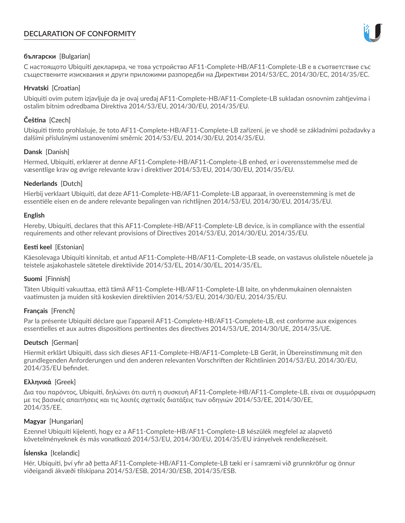# **DECLARATION OF CONFORMITY**



# **български** [Bulgarian]

С настоящото Ubiquiti декларира, че това устройство AF11-Complete-HB/AF11-Complete-LB е в съответствие със съществените изисквания и други приложими разпоредби на Директиви 2014/53/EC, 2014/30/ЕС, 2014/35/ЕС.

## **Hrvatski** [Croatian]

Ubiquiti ovim putem izjavljuje da je ovaj uređaj AF11-Complete-HB/AF11-Complete-LB sukladan osnovnim zahtjevima i ostalim bitnim odredbama Direktiva 2014/53/EU, 2014/30/EU, 2014/35/EU.

# **Čeština** [Czech]

Ubiquiti tímto prohlašuje, že toto AF11-Complete-HB/AF11-Complete-LB zařízení, je ve shodě se základními požadavky a dalšími příslušnými ustanoveními směrnic 2014/53/EU, 2014/30/EU, 2014/35/EU.

## **Dansk** [Danish]

Hermed, Ubiquiti, erklærer at denne AF11-Complete-HB/AF11-Complete-LB enhed, er i overensstemmelse med de væsentlige krav og øvrige relevante krav i direktiver 2014/53/EU, 2014/30/EU, 2014/35/EU.

## **Nederlands** [Dutch]

Hierbij verklaart Ubiquiti, dat deze AF11-Complete-HB/AF11-Complete-LB apparaat, in overeenstemming is met de essentiële eisen en de andere relevante bepalingen van richtlijnen 2014/53/EU, 2014/30/EU, 2014/35/EU.

### **English**

Hereby, Ubiquiti, declares that this AF11-Complete-HB/AF11-Complete-LB device, is in compliance with the essential requirements and other relevant provisions of Directives 2014/53/EU, 2014/30/EU, 2014/35/EU.

## **Eesti keel** [Estonian]

Käesolevaga Ubiquiti kinnitab, et antud AF11-Complete-HB/AF11-Complete-LB seade, on vastavus olulistele nõuetele ja teistele asjakohastele sätetele direktiivide 2014/53/EL, 2014/30/EL, 2014/35/EL.

# **Suomi** [Finnish]

Täten Ubiquiti vakuuttaa, että tämä AF11-Complete-HB/AF11-Complete-LB laite, on yhdenmukainen olennaisten vaatimusten ja muiden sitä koskevien direktiivien 2014/53/EU, 2014/30/EU, 2014/35/EU.

### **Français** [French]

Par la présente Ubiquiti déclare que l'appareil AF11-Complete-HB/AF11-Complete-LB, est conforme aux exigences essentielles et aux autres dispositions pertinentes des directives 2014/53/UE, 2014/30/UE, 2014/35/UE.

# **Deutsch** [German]

Hiermit erklärt Ubiquiti, dass sich dieses AF11-Complete-HB/AF11-Complete-LB Gerät, in Übereinstimmung mit den grundlegenden Anforderungen und den anderen relevanten Vorschriften der Richtlinien 2014/53/EU, 2014/30/EU, 2014/35/EU befindet.

### **Ελληνικά** [Greek]

Δια του παρόντος, Ubiquiti, δηλώνει ότι αυτή η συσκευή AF11-Complete-HB/AF11-Complete-LB, είναι σε συμμόρφωση με τις βασικές απαιτήσεις και τις λοιπές σχετικές διατάξεις των οδηγιών 2014/53/EE, 2014/30/EE, 2014/35/EE.

### **Magyar** [Hungarian]

Ezennel Ubiquiti kijelenti, hogy ez a AF11-Complete-HB/AF11-Complete-LB készülék megfelel az alapvető követelményeknek és más vonatkozó 2014/53/EU, 2014/30/EU, 2014/35/EU irányelvek rendelkezéseit.

# **Íslenska** [Icelandic]

Hér, Ubiquiti, því yfir að þetta AF11-Complete-HB/AF11-Complete-LB tæki er í samræmi við grunnkröfur og önnur viðeigandi ákvæði tilskipana 2014/53/ESB, 2014/30/ESB, 2014/35/ESB.